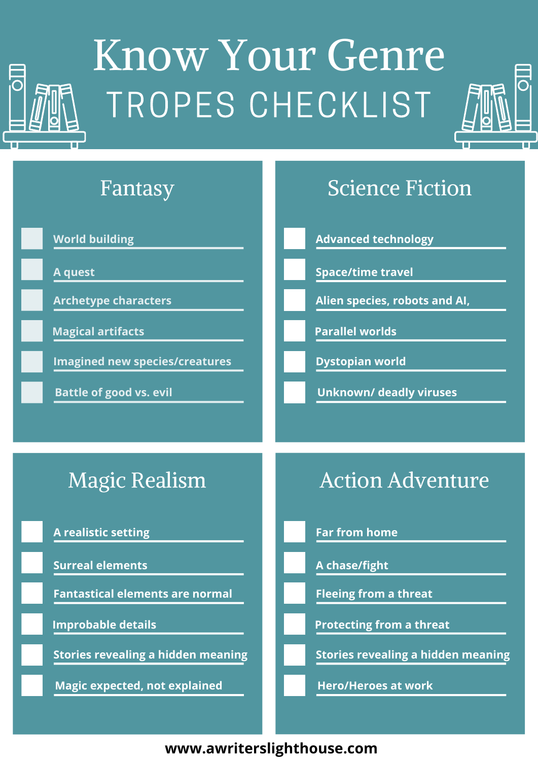

# Know Your Genre TROPES CHECKLIST





**www.awriterslighthouse.com**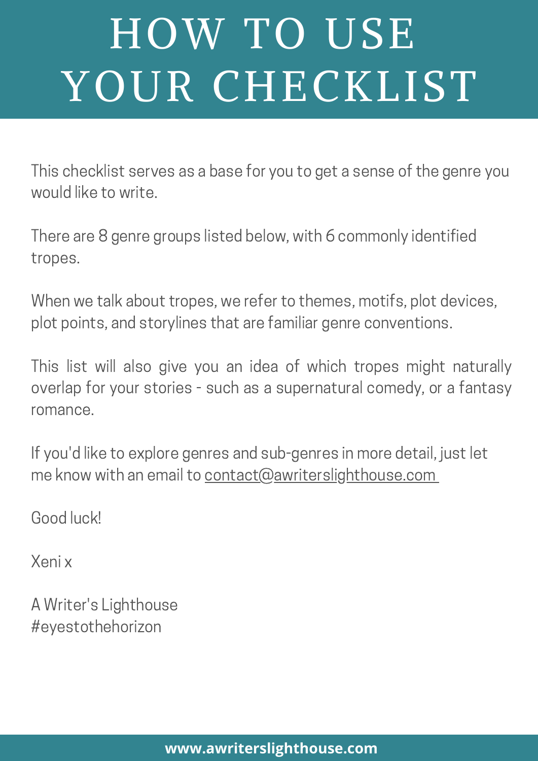# HOW TO USE YOUR CHECKLIST

This checklist serves as a base for you to get a sense of the genre you would like to write.

There are 8 genre groups listed below, with 6 commonly identified tropes.

When we talk about tropes, we refer to themes, motifs, plot devices, plot points, and storylines that are familiar genre conventions.

This list will also give you an idea of which tropes might naturally overlap for your stories - such as a supernatural comedy, or a fantasy romance.

If you'd like to explore genres and sub-genres in more detail, just let me know with an email to contact@awriterslighthouse.com

Good luck!

Xeni x

A Writer's Lighthouse #eyestothehorizon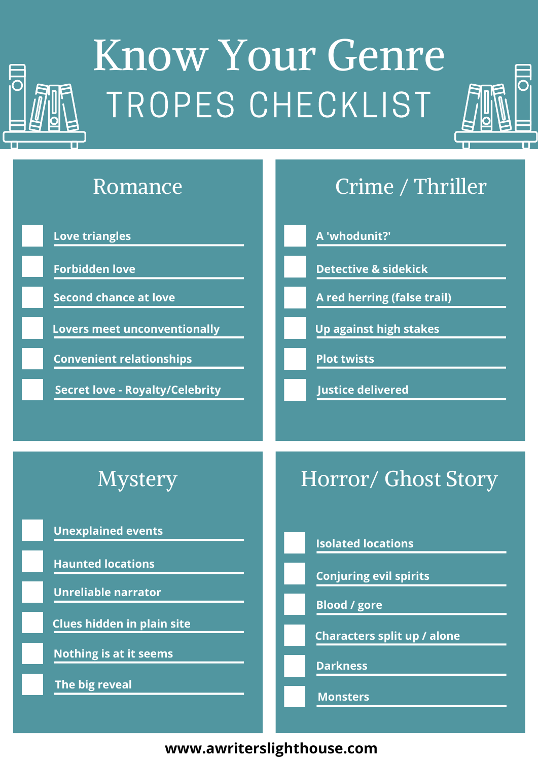

# Know Your Genre TROPES CHECKLIST





**www.awriterslighthouse.com**